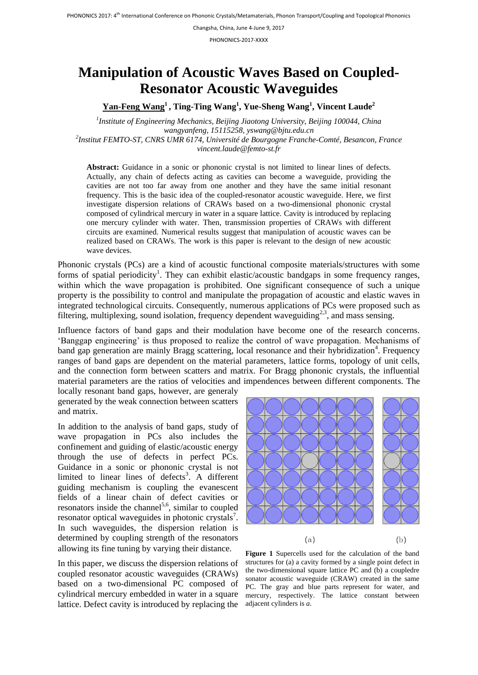Changsha, China, June 4-June 9, 2017

PHONONICS-2017-XXXX

## **Manipulation of Acoustic Waves Based on Coupled-Resonator Acoustic Waveguides**

**Yan-Feng Wang<sup>1</sup> , Ting-Ting Wang<sup>1</sup> , Yue-Sheng Wang<sup>1</sup> , Vincent Laude<sup>2</sup>**

*1 Institute of Engineering Mechanics, Beijing Jiaotong University, Beijing 100044, China wangyanfeng, 15115258, yswang@bjtu.edu.cn 2 Institut FEMTO-ST, CNRS UMR 6174, Université de Bourgogne Franche-Comté, Besancon, France*

*vincent.laude@femto-st.fr*

**Abstract:** Guidance in a sonic or phononic crystal is not limited to linear lines of defects. Actually, any chain of defects acting as cavities can become a waveguide, providing the cavities are not too far away from one another and they have the same initial resonant frequency. This is the basic idea of the coupled-resonator acoustic waveguide. Here, we first investigate dispersion relations of CRAWs based on a two-dimensional phononic crystal composed of cylindrical mercury in water in a square lattice. Cavity is introduced by replacing one mercury cylinder with water. Then, transmission properties of CRAWs with different circuits are examined. Numerical results suggest that manipulation of acoustic waves can be realized based on CRAWs. The work is this paper is relevant to the design of new acoustic wave devices.

Phononic crystals (PCs) are a kind of acoustic functional composite materials/structures with some forms of spatial periodicity<sup>1</sup>. They can exhibit elastic/acoustic bandgaps in some frequency ranges, within which the wave propagation is prohibited. One significant consequence of such a unique property is the possibility to control and manipulate the propagation of acoustic and elastic waves in integrated technological circuits. Consequently, numerous applications of PCs were proposed such as filtering, multiplexing, sound isolation, frequency dependent waveguiding<sup>2,3</sup>, and mass sensing.

Influence factors of band gaps and their modulation have become one of the research concerns. 'Banggap engineering' is thus proposed to realize the control of wave propagation. Mechanisms of band gap generation are mainly Bragg scattering, local resonance and their hybridization<sup>4</sup>. Frequency ranges of band gaps are dependent on the material parameters, lattice forms, topology of unit cells, and the connection form between scatters and matrix. For Bragg phononic crystals, the influential material parameters are the ratios of velocities and impendences between different components. The locally resonant band gaps, however, are generaly

generated by the weak connection between scatters and matrix.

In addition to the analysis of band gaps, study of wave propagation in PCs also includes the confinement and guiding of elastic/acoustic energy through the use of defects in perfect PCs. Guidance in a sonic or phononic crystal is not limited to linear lines of defects<sup>3</sup>. A different guiding mechanism is coupling the evanescent fields of a linear chain of defect cavities or resonators inside the channel<sup>5,6</sup>, similar to coupled resonator optical waveguides in photonic crystals<sup>7</sup>. In such waveguides, the dispersion relation is determined by coupling strength of the resonators allowing its fine tuning by varying their distance.

In this paper, we discuss the dispersion relations of coupled resonator acoustic waveguides (CRAWs) based on a two-dimensional PC composed of cylindrical mercury embedded in water in a square lattice. Defect cavity is introduced by replacing the adjacent cylinders is *a*.



**Figure 1** Supercells used for the calculation of the band structures for (a) a cavity formed by a single point defect in the two-dimensional square lattice PC and (b) a coupledre sonator acoustic waveguide (CRAW) created in the same PC. The gray and blue parts represent for water, and mercury, respectively. The lattice constant between